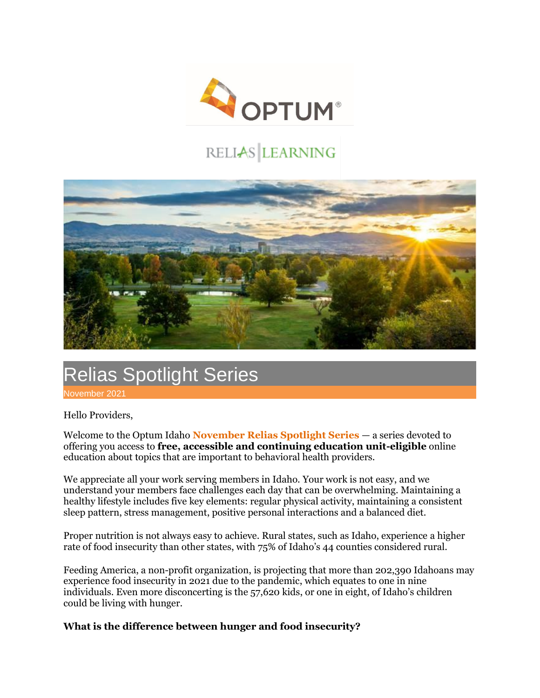

## RELIAS LEARNING



## Relias Spotlight Series

November 2021

Hello Providers,

Welcome to the Optum Idaho **November Relias Spotlight Series** — a series devoted to offering you access to **free, accessible and continuing education unit-eligible** online education about topics that are important to behavioral health providers.

We appreciate all your work serving members in Idaho. Your work is not easy, and we understand your members face challenges each day that can be overwhelming. Maintaining a healthy lifestyle includes five key elements: regular physical activity, maintaining a consistent sleep pattern, stress management, positive personal interactions and a balanced diet.

Proper nutrition is not always easy to achieve. Rural states, such as Idaho, experience a higher rate of food insecurity than other states, with 75% of Idaho's 44 counties considered rural.

Feeding America, a non-profit organization, is projecting that more than 202,390 Idahoans may experience food insecurity in 2021 due to the pandemic, which equates to one in nine individuals. Even more disconcerting is the 57,620 kids, or one in eight, of Idaho's children could be living with hunger.

**What is the difference between hunger and food insecurity?**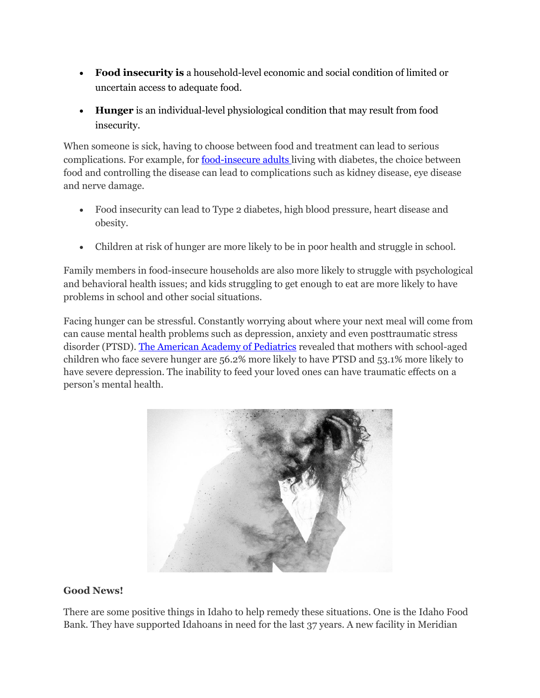- **Food insecurity is** a household-level economic and social condition of limited or uncertain access to adequate food.
- **Hunger** is an individual-level physiological condition that may result from food insecurity.

When someone is sick, having to choose between food and treatment can lead to serious complications. For example, for **[food-insecure adults](https://www.feedingamerica.org/hunger-in-america/food-insecurity)** living with diabetes, the choice between food and controlling the disease can lead to complications such as kidney disease, eye disease and nerve damage.

- Food insecurity can lead to Type 2 diabetes, high blood pressure, heart disease and obesity.
- Children at risk of hunger are more likely to be in poor health and struggle in school.

Family members in food-insecure households are also more likely to struggle with psychological and behavioral health issues; and kids struggling to get enough to eat are more likely to have problems in school and other social situations.

Facing hunger can be stressful. Constantly worrying about where your next meal will come from can cause mental health problems such as depression, anxiety and even posttraumatic stress disorder (PTSD). [The American Academy of Pediatrics](https://pediatrics.aappublications.org/content/110/4/e41) revealed that mothers with school-aged children who face severe hunger are 56.2% more likely to have PTSD and 53.1% more likely to have severe depression. The inability to feed your loved ones can have traumatic effects on a person's mental health.



## **Good News!**

There are some positive things in Idaho to help remedy these situations. One is the Idaho Food Bank. They have supported Idahoans in need for the last 37 years. A new facility in Meridian